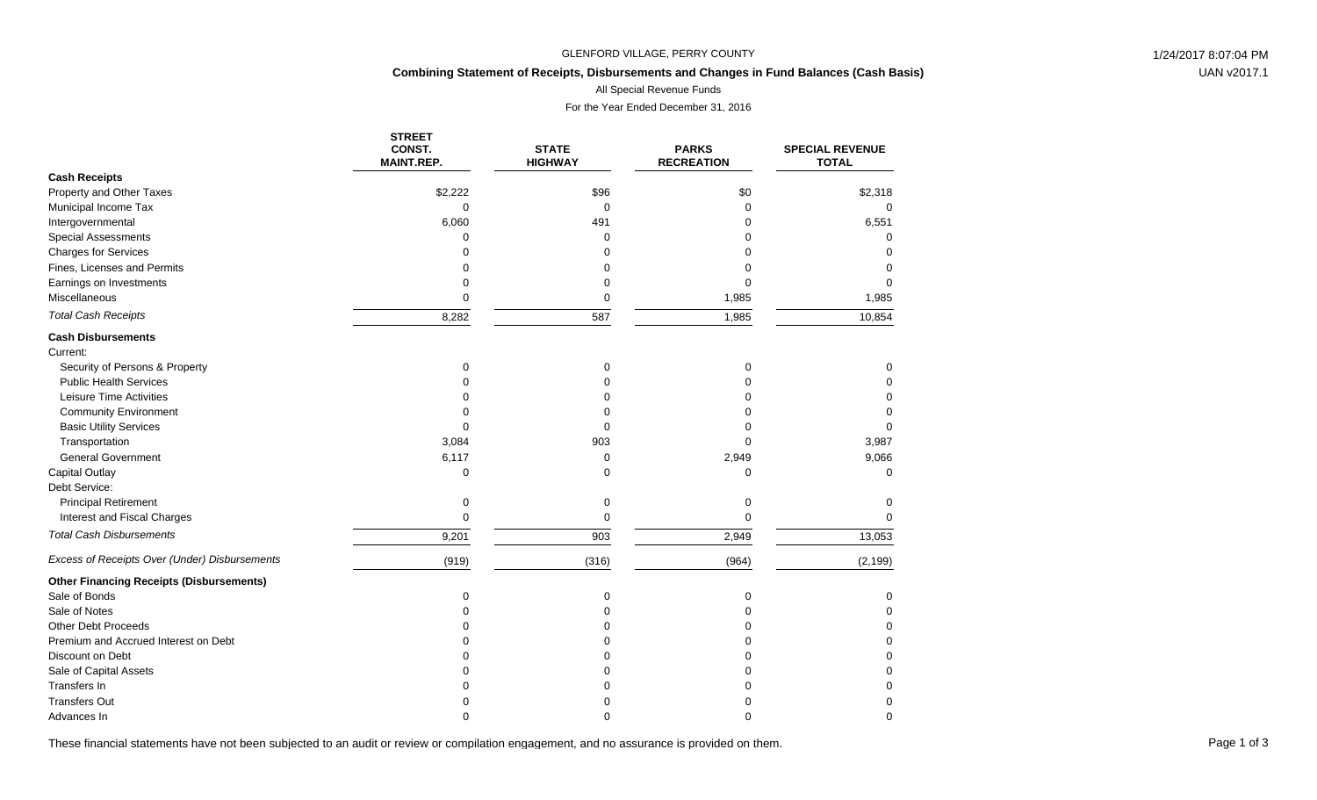### GLENFORD VILLAGE, PERRY COUNTY **1/24/2017 8:07:04 PM**

# **Combining Statement of Receipts, Disbursements and Changes in Fund Balances (Cash Basis)**

All Special Revenue Funds

For the Year Ended December 31, 2016

|                                                 | <b>STREET</b><br>CONST. | <b>STATE</b>   | <b>PARKS</b>      | <b>SPECIAL REVENUE</b> |
|-------------------------------------------------|-------------------------|----------------|-------------------|------------------------|
|                                                 | <b>MAINT.REP.</b>       | <b>HIGHWAY</b> | <b>RECREATION</b> | <b>TOTAL</b>           |
| <b>Cash Receipts</b>                            |                         |                |                   |                        |
| Property and Other Taxes                        | \$2,222                 | \$96           | \$0               | \$2,318                |
| Municipal Income Tax                            | $\Omega$                | 0              | $\Omega$          | $\Omega$               |
| Intergovernmental                               | 6,060                   | 491            | O                 | 6,551                  |
| <b>Special Assessments</b>                      | $\Omega$                | 0              |                   | $\Omega$               |
| <b>Charges for Services</b>                     | $\Omega$                | 0              |                   | $\Omega$               |
| Fines, Licenses and Permits                     | $\Omega$                | 0              |                   | 0                      |
| Earnings on Investments                         | 0                       | 0              | 0                 | 0                      |
| Miscellaneous                                   | $\mathbf 0$             | 0              | 1,985             | 1,985                  |
| <b>Total Cash Receipts</b>                      | 8,282                   | 587            | 1,985             | 10,854                 |
| <b>Cash Disbursements</b>                       |                         |                |                   |                        |
| Current:                                        |                         |                |                   |                        |
| Security of Persons & Property                  | $\mathbf 0$             | 0              | 0                 | 0                      |
| <b>Public Health Services</b>                   | O                       | 0              | 0                 | $\Omega$               |
| Leisure Time Activities                         | O                       | 0              | O                 | 0                      |
| <b>Community Environment</b>                    | $\Omega$                | 0              | O                 | 0                      |
| <b>Basic Utility Services</b>                   | $\Omega$                | 0              |                   | $\Omega$               |
| Transportation                                  | 3,084                   | 903            | $\Omega$          | 3,987                  |
| <b>General Government</b>                       | 6,117                   | 0              | 2,949             | 9,066                  |
| Capital Outlay                                  | $\Omega$                | $\Omega$       | $\Omega$          | $\Omega$               |
| Debt Service:                                   |                         |                |                   |                        |
| <b>Principal Retirement</b>                     | 0                       | 0              | 0                 | 0                      |
| Interest and Fiscal Charges                     | $\mathbf 0$             | 0              | $\Omega$          | $\Omega$               |
| <b>Total Cash Disbursements</b>                 | 9,201                   | 903            | 2,949             | 13,053                 |
| Excess of Receipts Over (Under) Disbursements   | (919)                   | (316)          | (964)             | (2, 199)               |
| <b>Other Financing Receipts (Disbursements)</b> |                         |                |                   |                        |
| Sale of Bonds                                   | $\Omega$                | 0              | $\mathbf 0$       | $\Omega$               |
| Sale of Notes                                   | O                       | 0              | 0                 | 0                      |
| Other Debt Proceeds                             |                         | 0              | O                 | $\Omega$               |
| Premium and Accrued Interest on Debt            |                         | 0              | $\Omega$          | $\Omega$               |
| Discount on Debt                                |                         | $\Omega$       | $\Omega$          | $\Omega$               |
| Sale of Capital Assets                          |                         | ሰ              |                   | $\Omega$               |
| <b>Transfers In</b>                             |                         | ი              |                   | $\Omega$               |
| <b>Transfers Out</b>                            |                         | n              |                   | $\Omega$               |
| Advances In                                     | $\Omega$                | n              | ∩                 | $\Omega$               |

These financial statements have not been subjected to an audit or review or compilation engagement, and no assurance is provided on them.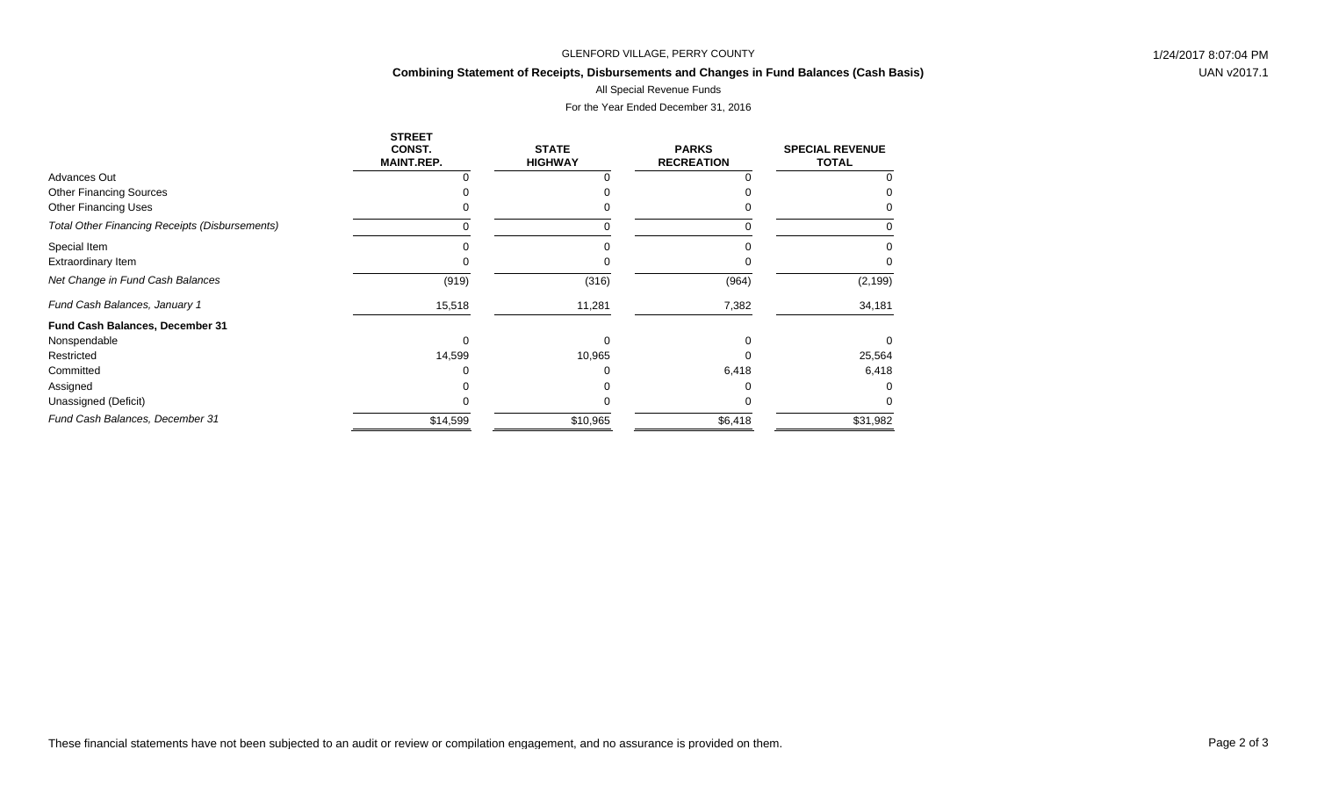### GLENFORD VILLAGE, PERRY COUNTY **1/24/2017 8:07:04 PM**

# **Combining Statement of Receipts, Disbursements and Changes in Fund Balances (Cash Basis)**

All Special Revenue Funds

# For the Year Ended December 31, 2016

|                                                       | <b>STREET</b><br>CONST.<br><b>MAINT.REP.</b> | <b>STATE</b><br><b>HIGHWAY</b> | <b>PARKS</b><br><b>RECREATION</b> | <b>SPECIAL REVENUE</b><br><b>TOTAL</b> |
|-------------------------------------------------------|----------------------------------------------|--------------------------------|-----------------------------------|----------------------------------------|
| Advances Out                                          |                                              |                                |                                   |                                        |
| <b>Other Financing Sources</b>                        |                                              |                                |                                   |                                        |
| Other Financing Uses                                  |                                              |                                |                                   |                                        |
| <b>Total Other Financing Receipts (Disbursements)</b> |                                              |                                |                                   |                                        |
| Special Item                                          |                                              |                                |                                   |                                        |
| <b>Extraordinary Item</b>                             |                                              |                                |                                   | $\Omega$                               |
| Net Change in Fund Cash Balances                      | (919)                                        | (316)                          | (964)                             | (2, 199)                               |
| Fund Cash Balances, January 1                         | 15,518                                       | 11,281                         | 7,382                             | 34,181                                 |
| Fund Cash Balances, December 31                       |                                              |                                |                                   |                                        |
| Nonspendable                                          |                                              |                                |                                   | $\Omega$                               |
| Restricted                                            | 14,599                                       | 10,965                         |                                   | 25,564                                 |
| Committed                                             |                                              |                                | 6,418                             | 6,418                                  |
| Assigned                                              |                                              |                                |                                   | O                                      |
| Unassigned (Deficit)                                  |                                              |                                |                                   | <sup>0</sup>                           |
| Fund Cash Balances, December 31                       | \$14,599                                     | \$10,965                       | \$6,418                           | \$31,982                               |